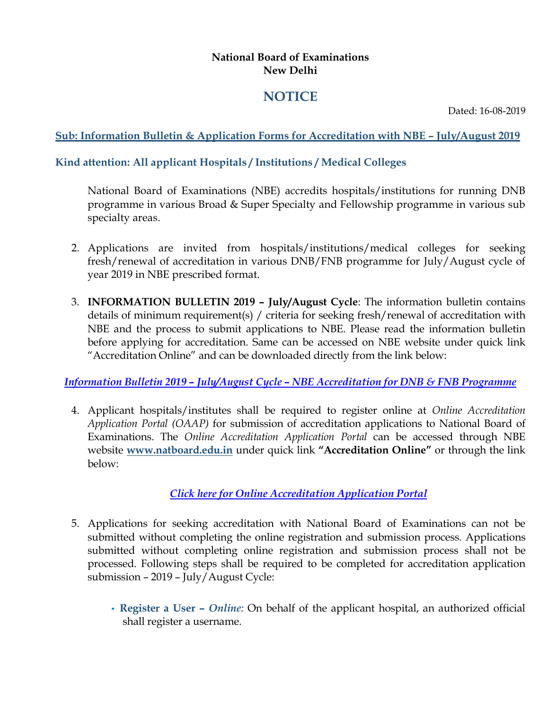#### **National Board of Examinations New Delhi**

# **NOTICE**

Dated: 16-08-2019

## **Sub: Information Bulletin & Application Forms for Accreditation with NBE – July/August 2019**

## **Kind attention: All applicant Hospitals / Institutions / Medical Colleges**

National Board of Examinations (NBE) accredits hospitals/institutions for running DNB programme in various Broad & Super Specialty and Fellowship programme in various sub specialty areas.

- 2. Applications are invited from hospitals/institutions/medical colleges for seeking fresh/renewal of accreditation in various DNB/FNB programme for July/August cycle of year 2019 in NBE prescribed format.
- 3. **INFORMATION BULLETIN 2019 – July/August Cycle**: The information bulletin contains details of minimum requirement(s) / criteria for seeking fresh/renewal of accreditation with NBE and the process to submit applications to NBE. Please read the information bulletin before applying for accreditation. Same can be accessed on NBE website under quick link "Accreditation Online" and can be downloaded directly from the link below:

#### *Information Bulletin 2019 – July/August Cycle – [NBE Accreditation for DNB & FNB Programme](http://natboard.edu.in/pdoof/pbnotice2019/Information%20Bulletin%202019%20-%20July%20-%20August%20Cycle.pdf)*

4. Applicant hospitals/institutes shall be required to register online at *Online Accreditation Application Portal (OAAP)* for submission of accreditation applications to National Board of Examinations. The *Online Accreditation Application Portal* can be accessed through NBE website **[www.natboard.edu.in](http://www.natboard.edu.in/)** under quick link **"Accreditation Online"** or through the link below:

# *[Click here for Online Accreditation Application Portal](https://accr.natboard.edu.in/online_user/frontpage.php)*

- 5. Applications for seeking accreditation with National Board of Examinations can not be submitted without completing the online registration and submission process. Applications submitted without completing online registration and submission process shall not be processed. Following steps shall be required to be completed for accreditation application submission – 2019 – July/August Cycle:
	- **Register a User –** *Online:* On behalf of the applicant hospital, an authorized official shall register a username.